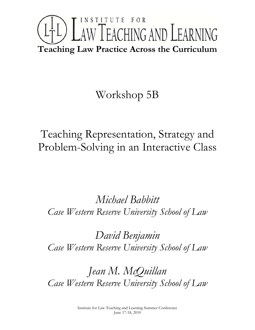# INSTITUTE FOR L<sup>1</sup>L) LAW TEACHING AND LEARNING **Teaching Law Practice Across the Curriculum**

# Workshop 5B

Teaching Representation, Strategy and Problem-Solving in an Interactive Class

*Michael Babbitt Case Western Reserve University School of Law* 

*David Benjamin Case Western Reserve University School of Law* 

*Jean M. McQuillan Case Western Reserve University School of Law*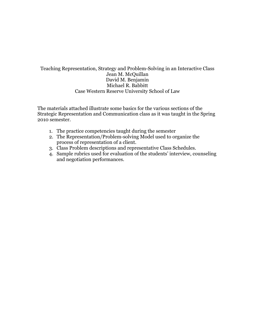## Teaching Representation, Strategy and Problem-Solving in an Interactive Class Jean M. McQuillan David M. Benjamin Michael R. Babbitt Case Western Reserve University School of Law

The materials attached illustrate some basics for the various sections of the Strategic Representation and Communication class as it was taught in the Spring 2010 semester.

- 1. The practice competencies taught during the semester
- 2. The Representation/Problem-solving Model used to organize the process of representation of a client.
- 3. Class Problem descriptions and representative Class Schedules.
- 4. Sample rubrics used for evaluation of the students' interview, counseling and negotiation performances.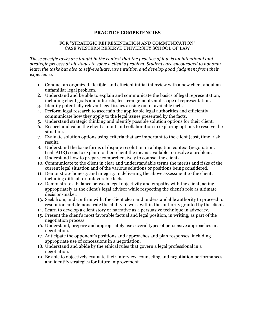#### **PRACTICE COMPETENCIES**

#### FOR "STRATEGIC REPRESENTATION AND COMMUNICATION" CASE WESTERN RESERVE UNIVERSITY SCHOOL OF LAW

*These specific tasks are taught in the context that the practice of law is an intentional and strategic process at all stages to solve a client's problem. Students are encouraged to not only learn the tasks but also to self-evaluate, use intuition and develop good judgment from their experience.*

- 1. Conduct an organized, flexible, and efficient initial interview with a new client about an unfamiliar legal problem.
- 2. Understand and be able to explain and communicate the basics of legal representation, including client goals and interests, fee arrangements and scope of representation.
- 3. Identify potentially relevant legal issues arising out of available facts.
- 4. Perform legal research to ascertain the applicable legal authorities and efficiently communicate how they apply to the legal issues presented by the facts.
- 5. Understand strategic thinking and identify possible solution options for their client.
- 6. Respect and value the client's input and collaboration in exploring options to resolve the situation.
- 7. Evaluate solution options using criteria that are important to the client (cost, time, risk, result).
- 8. Understand the basic forms of dispute resolution in a litigation context (negotiation, trial, ADR) so as to explain to their client the means available to resolve a problem.
- 9. Understand how to prepare comprehensively to counsel the client**.**
- 10. Communicate to the client in clear and understandable terms the merits and risks of the current legal situation and of the various solutions or positions being considered.
- 11. Demonstrate honesty and integrity in delivering the above assessment to the client, including difficult or unfavorable facts.
- 12. Demonstrate a balance between legal objectivity and empathy with the client, acting appropriately as the client's legal advisor while respecting the client's role as ultimate decision-maker.
- 13. Seek from, and confirm with, the client clear and understandable authority to proceed to resolution and demonstrate the ability to work within the authority granted by the client.
- 14. Learn to develop a client story or narrative as a persuasive technique in advocacy.
- 15. Present the client's most favorable factual and legal position, in writing, as part of the negotiation process.
- 16. Understand, prepare and appropriately use several types of persuasive approaches in a negotiation.
- 17. Anticipate the opponent's positions and approaches and plan responses, including appropriate use of concessions in a negotiation.
- 18. Understand and abide by the ethical rules that govern a legal professional in a negotiation.
- 19. Be able to objectively evaluate their interview, counseling and negotiation performances and identify strategies for future improvement.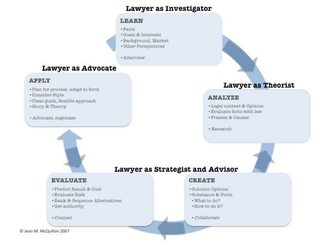# Lawyer as Investigator

## **LEARN**

- · Facts
- · Goals & Interests
- \*Background, Market
- · Other Perspectives
- · Interview

# **Lawyer as Advocate**

## **APPLY**

- · Plan for process, adapt to form
- · Consider Style
- · Clear goals, flexible approach
- · Story & Theory
- · Advocate, negotiate

# **Lawyer as Theorist**

# **ANALYZE**

- · Legal context & Options
- · Evaluate facts with law
- · Frames & Causes
- · Research

# Lawyer as Strategist and Advisor

## **EVALUATE**

- · Predict Result & Cost
- · Evaluate Risk
- Rank & Sequence Alternatives
- · Get authority
- \* Counsel

## **CREATE**

- \*Solution Options
- \*Substance & Form
- . What to do?
- . How to do it?
- · Collaborate

C Jean M. McQuillan 2007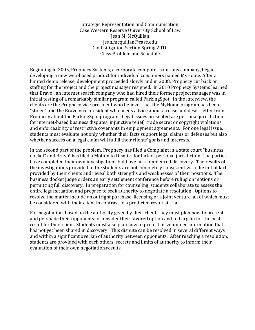Strategic Representation and Communication Case Western Reserve University School of Law Jean M. McQuillan jean.mcquillan@case.edu Civil Litigation Section Spring 2010 Class Problem and Schedule

Beginning in 2005, Prophecy Systems, a corporate computer solutions company, began developing a new web-based product for individual consumers named MyHome. After a limited demo release, development proceeded slowly and in 2008, Prophecy cut back on staffing for the project and the project manager resigned. In 2010 Prophecy Systems learned that Bravo!, an internet search company who had hired their former project manager was in initial testing of a remarkably similar program called ParkingSpot. In the interview, the clients are the Prophecy vice president who believes that the MyHome program has been "stolen" and the Bravo vice president who needs advice about a cease and desist letter from Prophecy about the ParkingSpot program. Legal issues presented are personal jurisdiction for internet-based business disputes, injunctive relief, trade secret or copyright violations and enforceability of restrictive covenants in employment agreements. For one legal issue, students must evaluate not only whether their facts support legal claims or defenses but also whether success on a legal claim will fulfill their clients' goals and interests.

In the second part of the problem, Prophecy has filed a Complaint in a state court "business" docket" and Bravo! has filed a Motion to Dismiss for lack of personal jurisdiction. The parties have completed their own investigations but have not commenced discovery. The results of the investigations provided to the students are not completely consistent with the initial facts provided by their clients and reveal both strengths and weaknesses of their positions. The business docket judge orders an early settlement conference before ruling on motions or permitting full discovery. In preparation for counseling, students collaborate to assess the entire legal situation and prepare to seek authority to negotiate a resolution. Options to resolve the matter include an outright purchase, licensing or a joint venture, all of which must be considered with their client in contrast to a predicted result at trial.

For negotiation, based on the authority given by their client, they must plan how to present and persuade their opponents to consider their favored option and to bargain for the best result for their client. Students must also plan how to protect or volunteer information that has not yet been shared in discovery. This dispute can be resolved in several different ways and within a significant overlap of authority between opponents. After reaching a resolution, students are provided with each others' secrets and limits of authority to inform their evaluation of their own negotiation results.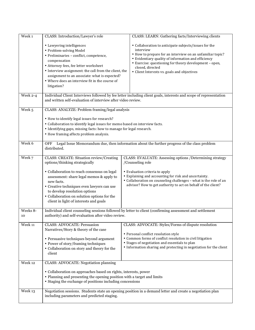| Week 1         | CLASS: Introduction/Lawyer's role                                                                                                                                                                                                                                                                                                                                  | CLASS: LEARN: Gathering facts/Interviewing clients                                                                                                                                                                                                                                                                  |  |  |  |
|----------------|--------------------------------------------------------------------------------------------------------------------------------------------------------------------------------------------------------------------------------------------------------------------------------------------------------------------------------------------------------------------|---------------------------------------------------------------------------------------------------------------------------------------------------------------------------------------------------------------------------------------------------------------------------------------------------------------------|--|--|--|
|                | • Lawyering intelligences<br>• Problem-solving Model<br>• Preliminaries - conflict, competence,<br>compensation<br>• Attorney fees, fee letter worksheet<br>• Interview assignment: the call from the client, the<br>assignment to an associate: what is expected?<br>• Where does an interview fit in the course of<br>litigation?                                | • Collaboration to anticipate subjects/issues for the<br>interview<br>• How to prepare for an interview on an unfamiliar topic?<br>• Evidentiary quality of information and efficiency<br>• Exercise: questioning for theory development - open,<br>closed, directed<br>• Client Interests vs. goals and objectives |  |  |  |
| Week 2-4       | and written self-evaluation of interview after video review.                                                                                                                                                                                                                                                                                                       | Individual Client Interviews followed by fee letter including client goals, interests and scope of representation                                                                                                                                                                                                   |  |  |  |
| Week 5         | CLASS: ANALYZE: Problem framing/legal analysis<br>• How to identify legal issues for research?<br>• Collaboration to identify legal issues for memo based on interview facts.<br>• Identifying gaps, missing facts: how to manage for legal research.<br>• How framing affects problem analysis.                                                                   |                                                                                                                                                                                                                                                                                                                     |  |  |  |
| Week 6         | OFF<br>distributed.                                                                                                                                                                                                                                                                                                                                                | Legal Issue Memorandum due, then information about the further progress of the class problem                                                                                                                                                                                                                        |  |  |  |
| Week 7         | <b>CLASS: CREATE: Situation review/Creating</b><br>options/thinking strategically<br>• Collaboration to reach consensus on legal<br>assessment: share legal memos & apply to<br>new facts.<br>• Creative techniques even lawyers can use<br>to develop resolution options<br>• Collaboration on solution options for the<br>client in light of interests and goals | CLASS: EVALUATE: Assessing options /Determining strategy<br>/Counseling role<br>• Evaluation criteria to apply<br>• Explaining and accounting for risk and uncertainty.<br>• Collaboration on counseling challenges - what is the role of an<br>advisor? How to get authority to act on behalf of the client?       |  |  |  |
| Weeks 8-<br>10 | authority) and self-evaluation after video review.                                                                                                                                                                                                                                                                                                                 | Individual client counseling sessions followed by letter to client (confirming assessment and settlement                                                                                                                                                                                                            |  |  |  |
| Week 11        | <b>CLASS: ADVOCATE: Persuasion</b><br>Narratives/Story & theory of the case<br>• Persuasive techniques beyond argument<br>• Power of story/framing techniques<br>• Collaboration on story and theory for the<br>client                                                                                                                                             | CLASS: ADVOCATE: Styles/Forms of dispute resolution<br>• Personal conflict resolution style<br>• Common forms of conflict resolution in civil litigation<br>• Stages of negotiation and essentials to plan<br>• Information sharing and protecting in negotiation for the client                                    |  |  |  |
| Week 12        | <b>CLASS: ADVOCATE: Negotiation planning</b><br>• Collaboration on approaches based on rights, interests, power<br>• Planning and presenting the opening position with a target and limits<br>• Staging the exchange of positions including concessions                                                                                                            |                                                                                                                                                                                                                                                                                                                     |  |  |  |
| Week 13        | including parameters and predicted staging.                                                                                                                                                                                                                                                                                                                        | Negotiation sessions. Students state an opening position in a demand letter and create a negotiation plan                                                                                                                                                                                                           |  |  |  |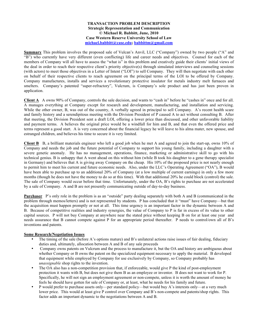#### **TRANSACTION PROBLEM DESCRIPTION Strategic Representation and Communication © Michael R. Babbitt, June, 2010 Case Western Reserve University School of Law michael.babbitt@case.edu; babbittm@gmail.com**

**Summary** This problem involves the proposed sale of Vulcan's Anvil, LLC ("Company") owned by two people ("A" and "B") who currently have very different (even conflicting) life and career needs and objectives. Counsel for each of the members of Company will all have to assess the "what is" in this problem and creatively guide their clients' initial views of the deal in order to reach their respective client's priority objective(s) through simulated interviews and counseling sessions (with actors) to meet those objectives in a Letter of Intent ("LOI") to sell Company. They will then negotiate with each other on behalf of their respective clients to reach agreement on the principal terms of the LOI to be offered by Company. Company manufactures, installs and services a revolutionary protective insulator for metals industry melt furnaces and smelters. Company's patented "super-refractory", Vulcrum, is Company's sole product and has just been proven in application.

**Client A** A owns 90% of Company, controls the sale decision, and wants to "cash in" before he "cashes in" once and for all. A manages everything at Company except for research and development, manufacturing, and installation and servicing. While the other owner, B, was out of the country, A verbally agreed in principal to sell Company. A's recent health scare and family history and a serendipitous meeting with the Division President of P caused A to act without consulting B. After that meeting, the Division President sent a draft LOI, offering a lower price than discussed, and other unfavorable liability and payment terms. A believes the original price would be a windfall for him and B, and that even the offered price and terms represent a good start. A is very concerned about the financial legacy he will leave to his alma mater, new spouse, and estranged children, and believes his time to secure it is very limited.

**Client B** B, a brilliant materials engineer who left a good job when he met A and agreed to join the start-up, owns 10% of Company and needs the job and the future potential of Company to support his young family, including a daughter with a severe genetic anomaly. He has no management, operations, finance, marketing or administrative skill to go with his technical genius. B is unhappy that A went ahead on this without him (while B took his daughter to a gene therapy specialist in Germany) and believes that A is giving away Company on the cheap. His 10% of the proposed price is not nearly enough to permit him to meet his current and future economic needs. Also, under the LLC's Operating Agreement ("OA"), B would have been able to purchase up to an additional 20% of Company (at a low multiple of current earnings) in only a few more months (though he does not have the money to do so at this time). With that additional 20% he could block (control) the sale. The sale of Company would occur before that time. Unfortunately, under the OA, B's rights to purchase are not accelerated by a sale of Company. A and B are not presently communicating outside of day-to-day business.

**Purchaser** P's only role in the problem is as an "outside" party dealing separately with both A and B (communicated in the problem through memos/letters) and is not represented by students. P has concluded that it "must" have Company—but that the acquisition must happen promptly or not at all. This time urgency is an important factor in the dynamic between A and B. Because of competitive realities and industry synergies, the value of Company to P is far in excess of its value to other capital sources. P will not buy Company at anywhere near the stated price without keeping B on for at least one year and needs assurance that B cannot compete against P for an appropriate period thereafter. P needs to control/own all of B's inventions and patents.

#### **Some Research/Negotiation Issues**

- The timing of the sale (before A's options mature) and B's unilateral actions raise issues of fair dealing, fiduciary duties and, ultimately, allocation between A and B of any sale proceeds
- Company owns patents on Vulcrum and the process to manufacture it, but the OA and history are ambiguous about whether Company or B owns the patent on the specialized equipment necessary to apply the material. B developed that equipment while employed by Company for use exclusively by Company, so Company probably has *unassignable* shop rights to the invention.
- The OA also has a non-competition provision that, if enforceable, would give P the kind of post-employment protection it wants with B, but does not give them B as an employee or inventor. B does not want to work for P. Specifically, he will not sign an employment agreement or non-compete, unless it is worth the amount of money he feels he should have gotten for sale of Company or, at least, what he needs for his family and future.
- P would prefer to purchase assets only—per standard policy—but would buy A's interests only—at a very much lower price. This would at least give P control over Company and B's non-compete and patents/shop rights. This factor adds an important dynamic to the negotiations between A and B.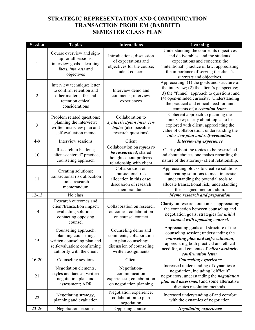# **STRATEGIC REPRESENTATION AND COMMUNICATION TRANSACTION PROBLEM (BABBITT) SEMESTER CLASS PLAN**

| <b>Session</b> | <b>Topics</b>                                                                                                                           | <b>Interactions</b>                                                                                                      | Learning                                                                                                                                                                                                                                                                 |
|----------------|-----------------------------------------------------------------------------------------------------------------------------------------|--------------------------------------------------------------------------------------------------------------------------|--------------------------------------------------------------------------------------------------------------------------------------------------------------------------------------------------------------------------------------------------------------------------|
| 1              | Course overview and sign-<br>up for all sessions;<br>interview goals-learning<br>facts, interests and<br>objectives                     | Introductions; discussion<br>of expectations and<br>objectives for the course;<br>student concerns                       | Understanding the course, its objectives<br>and deliverables, and the students'<br>expectations and concerns; the<br>"intentional" practice of law; appreciating<br>the importance of serving the client's<br>interests and objectives.                                  |
| $\overline{2}$ | Interview technique; letter<br>to confirm retention and<br>other matters; fee and<br>retention ethical<br>considerations                | Interview demo and<br>comments; interview<br>experiences                                                                 | Appreciating: (1) the goals and structure of<br>the interview; $(2)$ the client's perspective;<br>(3) the "funnel" approach to questions; and<br>(4) open-minded curiosity. Understanding<br>the practical and ethical need for, and<br>contents of, a retention letter. |
| $\overline{3}$ | Problem related questions;<br>planning the interview;<br>written interview plan and<br>self-evaluation memo                             | Collaboration to<br>synthesize/plan interview<br>topics (also possible<br>research questions)                            | Coherent approach to planning the<br>interview; clarity about topics to be<br>explored with client; appreciating the<br>value of collaboration; understanding the<br>interview plan and self-evaluation.                                                                 |
| $4-9$          | Interview sessions                                                                                                                      | Client                                                                                                                   | Interviewing experience                                                                                                                                                                                                                                                  |
| 10             | Research to be done;<br>"client-centered" practice;<br>counseling approach                                                              | Collaboration on topics to<br>be researched; shared<br>thoughts about preferred<br>relationship with client              | Clarity about the topics to be researched<br>and about choices one makes regarding the<br>nature of the attorney- client relationship.                                                                                                                                   |
| 11             | Creating solutions;<br>transactional risk allocation<br>tools; research<br>memorandum                                                   | Collaboration on<br>transactional risk<br>allocation in this case;<br>discussion of research<br>memorandum               | Appreciating blocks to creative solutions<br>and creating solutions to meet interests;<br>understanding the potential tools to<br>allocate transactional risk; understanding<br>the assigned memorandum.                                                                 |
| $12 - 13$      | No class                                                                                                                                |                                                                                                                          | Memo research and preparation                                                                                                                                                                                                                                            |
| 14             | Research outcomes and<br>client/transaction impact;<br>evaluating solutions;<br>contacting opposing<br>counsel                          | Collaboration on research<br>outcomes; collaboration<br>on counsel contact                                               | Clarity on research outcomes; appreciating<br>the connection between counseling and<br>negotiation goals; strategies for <i>initial</i><br>contact with opposing counsel.                                                                                                |
| 15             | Counseling approach;<br>planning counseling;<br>written counseling plan and<br>self-evaluation; confirming<br>authority with the client | Counseling demo and<br>comments; collaboration<br>to plan counseling;<br>discussion of counseling<br>written assignments | Appreciating goals and structure of the<br>counseling session; understanding the<br>counseling plan and self-evaluation;<br>appreciating both practical and ethical<br>need for, and contents of, <i>client authority</i><br>confirmation letter.                        |
| $16 - 20$      | Counseling sessions                                                                                                                     | Client                                                                                                                   | <b>Counseling experience</b>                                                                                                                                                                                                                                             |
| 21             | Negotiation elements,<br>styles and tactics; written<br>negotiation plan and<br>assessment; ADR                                         | Negotiation-<br>communication<br>experiences; collaboration<br>on negotiation planning                                   | Increased understanding of dynamics of<br>negotiation, including "difficult"<br>negotiators; understanding the <i>negotiation</i><br>plan and assessment and some alternative<br>disputes resolution methods.                                                            |
| 22             | Negotiating strategy,<br>planning and evaluation                                                                                        | Negotiation experience;<br>collaboration to plan<br>negotiation                                                          | Increased understanding of and comfort<br>with the dynamics of negotiation.                                                                                                                                                                                              |
| $23 - 26$      | Negotiation sessions                                                                                                                    | Opposing counsel                                                                                                         | <b>Negotiating experience</b>                                                                                                                                                                                                                                            |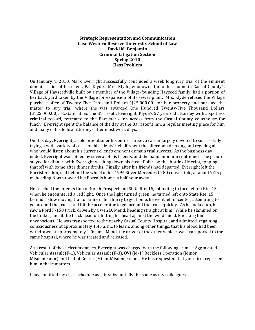#### **Strategic Representation and Communication Case)Western)Reserve)University)School)of)Law David)M.)Benjamin Criminal Litigation Section Spring)2010 Class)Problem**

On January 4, 2010, Mark Everright successfully concluded a week long jury trial of the eminent domain claim of his client, Pat Klyde. Mrs. Klyde, who owns the oldest home in Casual County's Village of Hayseedville built by a member of the Village-founding Hayseed family, had a portion of her back yard taken by the Village for expansion of its sewer plant. Mrs. Klyde refused the Village purchase offer of Twenty-Five Thousand Dollars (\$25,000.00) for her property and pursued the matter to jury trial, where she was awarded One Hundred Twenty-Five Thousand Dollars (\$125,000.00). Ecstatic at his client's result, Everright, Klyde's 57 year old attorney with a spotless criminal record, retreated to the Barrister's Inn across from the Casual County courthouse for lunch. Everright spent the balance of the day at the Barrister's Inn, a regular meeting place for him and many of his fellow attorneys after most work days.

On this day, Everright, a sole practitioner his entire career, a career largely devoted to successfully trying a wide variety of cases on his clients' behalf, spent the afternoon drinking and regaling all who would listen about his current client's eminent domain trial success. As the business day ended, Everright was joined by several of his friends, and the pandemonium continued. The group stayed for dinner, with Everright washing down his Steak Poivre with a bottle of Merlot, topping that off with some after dinner drinks. Finally, after his friends had departed, Everright left the Barrister's Inn, slid behind the wheel of his 1996 Silver Mercedes C280 convertible, at about 9:15 p. m. heading North toward his Borealis home, a half hour away.

He reached the intersection of North Prospect and State Rte. 15, intending to turn left on Rte. 15, when he encountered a red light. Once the light turned green, he turned left onto State Rte. 15, behind a slow moving tractor trailer. In a hurry to get home, he went left of center, attempting to get around the truck, and hit the accelerator to get around the truck quickly. As he looked up, he saw a Ford F-150 truck, driven by Owen D. Mend, heading straight at him. While he slammed on the brakes, he hit the truck head on, hitting his head against the windshield, knocking him unconscious. He was transported to the nearby Casual County Hospital, and admitted, regaining consciousness at approximately 1:45 a. m., to learn, among other things, that his blood had been withdrawn at approximately 1:00 am. Mend, the driver of the other vehicle, was transported to the same hospital, where he was treated and released.

As a result of these circumstances, Everright was charged with the following crimes: Aggravated Vehicular Assault (F-1), Vehicular Assault (F-3), OVI (M-1) Reckless Operation (Minor Misdemeanor) and Left of Center (Minor Misdemeanor). He has requested that your firm represent him in these matters.

I have omitted my class schedule as it is substantially the same as my colleagues.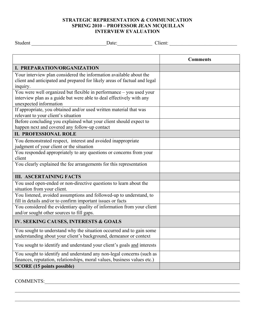## **STRATEGIC REPRESENTATION & COMMUNICATION SPRING 2010 – PROFESSOR JEAN MCQUILLAN INTERVIEW EVALUATION**

Studient and a studient control of the Date: Let us a studient control of the studient control of the studient  $\sum_{i=1}^n$ 

|                                                                           | <b>Comments</b> |
|---------------------------------------------------------------------------|-----------------|
| <b>I. PREPARATION/ORGANIZATION</b>                                        |                 |
| Your interview plan considered the information available about the        |                 |
| client and anticipated and prepared for likely areas of factual and legal |                 |
| inquiry.                                                                  |                 |
| You were well organized but flexible in performance – you used your       |                 |
| interview plan as a guide but were able to deal effectively with any      |                 |
| unexpected information                                                    |                 |
| If appropriate, you obtained and/or used written material that was        |                 |
| relevant to your client's situation                                       |                 |
| Before concluding you explained what your client should expect to         |                 |
| happen next and covered any follow-up contact                             |                 |
| <b>II. PROFESSIONAL ROLE</b>                                              |                 |
| You demonstrated respect, interest and avoided inappropriate              |                 |
| judgment of your client or the situation                                  |                 |
| You responded appropriately to any questions or concerns from your        |                 |
| client                                                                    |                 |
| You clearly explained the fee arrangements for this representation        |                 |
| <b>III. ASCERTAINING FACTS</b>                                            |                 |
| You used open-ended or non-directive questions to learn about the         |                 |
| situation from your client.                                               |                 |
| You listened, avoided assumptions and followed-up to understand, to       |                 |
| fill in details and/or to confirm important issues or facts               |                 |
| You considered the evidentiary quality of information from your client    |                 |
| and/or sought other sources to fill gaps.                                 |                 |
| IV. SEEKING CAUSES, INTERESTS & GOALS                                     |                 |
| You sought to understand why the situation occurred and to gain some      |                 |
| understanding about your client's background, demeanor or context         |                 |
| You sought to identify and understand your client's goals and interests   |                 |
| You sought to identify and understand any non-legal concerns (such as     |                 |
| finances, reputation, relationships, moral values, business values etc.)  |                 |
| <b>SCORE</b> (15 points possible)                                         |                 |

 $\mathcal{L}_\mathcal{L} = \mathcal{L}_\mathcal{L} = \mathcal{L}_\mathcal{L} = \mathcal{L}_\mathcal{L} = \mathcal{L}_\mathcal{L} = \mathcal{L}_\mathcal{L} = \mathcal{L}_\mathcal{L} = \mathcal{L}_\mathcal{L} = \mathcal{L}_\mathcal{L} = \mathcal{L}_\mathcal{L} = \mathcal{L}_\mathcal{L} = \mathcal{L}_\mathcal{L} = \mathcal{L}_\mathcal{L} = \mathcal{L}_\mathcal{L} = \mathcal{L}_\mathcal{L} = \mathcal{L}_\mathcal{L} = \mathcal{L}_\mathcal{L}$ 

 $\mathcal{L}_\mathcal{L} = \mathcal{L}_\mathcal{L} = \mathcal{L}_\mathcal{L} = \mathcal{L}_\mathcal{L} = \mathcal{L}_\mathcal{L} = \mathcal{L}_\mathcal{L} = \mathcal{L}_\mathcal{L} = \mathcal{L}_\mathcal{L} = \mathcal{L}_\mathcal{L} = \mathcal{L}_\mathcal{L} = \mathcal{L}_\mathcal{L} = \mathcal{L}_\mathcal{L} = \mathcal{L}_\mathcal{L} = \mathcal{L}_\mathcal{L} = \mathcal{L}_\mathcal{L} = \mathcal{L}_\mathcal{L} = \mathcal{L}_\mathcal{L}$ 

COMMENTS:\_\_\_\_\_\_\_\_\_\_\_\_\_\_\_\_\_\_\_\_\_\_\_\_\_\_\_\_\_\_\_\_\_\_\_\_\_\_\_\_\_\_\_\_\_\_\_\_\_\_\_\_\_\_\_\_\_\_\_\_\_\_\_\_\_\_\_\_\_\_\_\_\_\_\_\_\_\_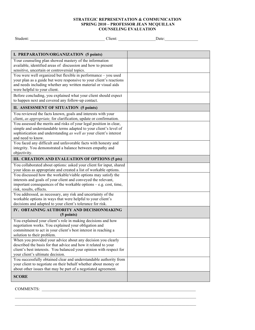#### **STRATEGIC REPRESENTATION & COMMUNICATION SPRING 2010 – PROFESSOR JEAN MCQUILLAN COUNSELING EVALUATION**

| Student:                                                                                                                              | Client: | Date: |
|---------------------------------------------------------------------------------------------------------------------------------------|---------|-------|
|                                                                                                                                       |         |       |
|                                                                                                                                       |         |       |
| I. PREPARATION/ORGANIZATION (5 points)                                                                                                |         |       |
| Your counseling plan showed mastery of the information                                                                                |         |       |
| available, identified areas of discussion and how to present                                                                          |         |       |
| sensitive, uncertain or controversial topics.                                                                                         |         |       |
| You were well organized but flexible in performance - you used<br>your plan as a guide but were responsive to your client's reactions |         |       |
| and needs including whether any written material or visual aids                                                                       |         |       |
| were helpful to your client.                                                                                                          |         |       |
| Before concluding, you explained what your client should expect                                                                       |         |       |
| to happen next and covered any follow-up contact.                                                                                     |         |       |
| II. ASSESSMENT OF SITUATION (5 points)                                                                                                |         |       |
| You reviewed the facts known, goals and interests with your                                                                           |         |       |
| client, as appropriate, for clarification, update or confirmation.                                                                    |         |       |
| You assessed the merits and risks of your legal position in clear,                                                                    |         |       |
| simple and understandable terms adapted to your client's level of                                                                     |         |       |
| sophistication and understanding as well as your client's interest                                                                    |         |       |
| and need to know.<br>You faced any difficult and unfavorable facts with honesty and                                                   |         |       |
| integrity. You demonstrated a balance between empathy and                                                                             |         |       |
| objectivity.                                                                                                                          |         |       |
| III. CREATION AND EVALUATION OF OPTIONS (5 pts)                                                                                       |         |       |
| You collaborated about options: asked your client for input, shared                                                                   |         |       |
| your ideas as appropriate and created a list of workable options.                                                                     |         |       |
| You discussed how the workable/viable options may satisfy the                                                                         |         |       |
| interests and goals of your client and conveyed the relevant,                                                                         |         |       |
| important consequences of the workable options $-e.g. cost, time,$<br>risk, results, effects.                                         |         |       |
| You addressed, as necessary, any risk and uncertainty of the                                                                          |         |       |
| workable options in ways that were helpful to your client's                                                                           |         |       |
| decisions and adapted to your client's tolerance for risk.                                                                            |         |       |
| IV. OBTAINING AUTHORITY AND DECISIONMAKING                                                                                            |         |       |
| (5 points)                                                                                                                            |         |       |
| You explained your client's role in making decisions and how                                                                          |         |       |
| negotiation works. You explained your obligation and                                                                                  |         |       |
| commitment to act in your client's best interest in reaching a<br>solution to their problem.                                          |         |       |
| When you provided your advice about any decision you clearly                                                                          |         |       |
| described the basis for that advice and how it related to your                                                                        |         |       |
| client's best interests. You balanced your opinion with respect for                                                                   |         |       |
| your client's ultimate decision.                                                                                                      |         |       |
| You successfully obtained clear and understandable authority from                                                                     |         |       |
| your client to negotiate on their behalf whether about money or                                                                       |         |       |
| about other issues that may be part of a negotiated agreement.                                                                        |         |       |
| <b>SCORE</b>                                                                                                                          |         |       |
|                                                                                                                                       |         |       |

 $\mathcal{L}_\text{max}$  $\mathcal{L}_\text{max}$ 

COMMENTS: \_\_\_\_\_\_\_\_\_\_\_\_\_\_\_\_\_\_\_\_\_\_\_\_\_\_\_\_\_\_\_\_\_\_\_\_\_\_\_\_\_\_\_\_\_\_\_\_\_\_\_\_\_\_\_\_\_\_\_\_\_\_\_\_\_\_\_\_\_\_\_\_\_\_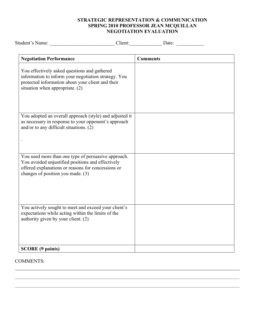## **STRATEGIC REPRESENTATION & COMMUNICATION SPRING 2010 PROFESSOR JEAN MCQUILLAN NEGOTIATION EVALUATION**

| Student's Name: Date: Date:                                                                                                                                                                         |                 |
|-----------------------------------------------------------------------------------------------------------------------------------------------------------------------------------------------------|-----------------|
| <b>Negotiation Performance</b>                                                                                                                                                                      | <b>Comments</b> |
| You effectively asked questions and gathered<br>information to inform your negotiation strategy. You<br>protected information about your client and their<br>situation when appropriate. (2)        |                 |
| You adopted an overall approach (style) and adjusted it<br>as necessary in response to your opponent's approach<br>and/or to any difficult situations. (2)                                          |                 |
| You used more than one type of persuasive approach.<br>You avoided unjustified positions and effectively<br>offered explanations or reasons for concessions or<br>changes of position you made. (3) |                 |
| You actively sought to meet and exceed your client's<br>expectations while acting within the limits of the<br>authority given by your client. (2)                                                   |                 |
| <b>SCORE (9 points)</b>                                                                                                                                                                             |                 |

## COMMENTS: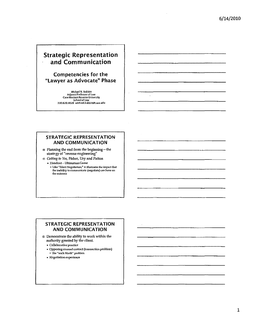# Strategic Representation and Communication

## Competencies for the "lawyer as Advocate" Phase

Michael R. Babbitt Adjunct Professor of Law<br>Case Western Reserve University<br>School of Law<br>330.620.4028 michael.babbitt&case.edu

 $\overline{a}$ 

#### STRATEGIC REPRESENTATION AND COMMUNICATION

ill Planning the end from the beginning-the strategy of "reverse engineering"

ill Gettfng to Yes, Fisher, Ury and Patton

• Handout-UltimatumGame

 $\circ$  Like "Silent Negotiation," it illustrates the impact that the inability 10 communicate (negotiate) can have on the outcome

### STRATEGIC REPRESENTATION AND COMMUNICATION

 $\circledcirc$  Demonstrate the ability to work within the authority granted by the client.

• Collaborative practice

• Opposing counsel contact (transaction problem) The "walk North" problem

• Negotiation experience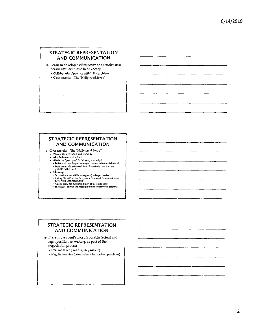## **STRATEGIC REPRESENTATION** AND COMMUNICATION

**D** Learn to develop a client story or narrative as a persuasive technique in advocacy.

- Collaboration/practice within the problem

## · Class exercise-The "Hollywood Setup"

#### STRATEGIC REPRESENTATION **AND COMMUNICATION**

- @ Class exercise-The "Hollywood Setup"
	- » Who are the defendant and plaintiff?
	-
	- What is the cause of action?<br>• Who is the "good guy" in this story and why?<br>• Did that change for you when you learned who the plaintiff is?<br>• Does that explain the need for a "hyperbolic" story for the<br>plaintiff in this
	- · Takeaways:
	- · Be creative (even a little outrageous) to be persuasive A story "based" on the bouldgebust in the persuasive<br>• A story "based" on the facts, sets a frame and framework more<br>powerfully than facts alone
	-
	- . A good slory can even stand the "truth" on its head . The impact of even the best story is undercut by bad grammar

#### **STRATEGIC REPRESENTATION AND COMMUNICATION**

<sup>D</sup> Present the client's most favorable factual and legal position, in writing, as part of the negotiation process.

Demand letter (civil dispute problem)

 $\cdot$ 

• Negotiation plan (criminal and transaction problems)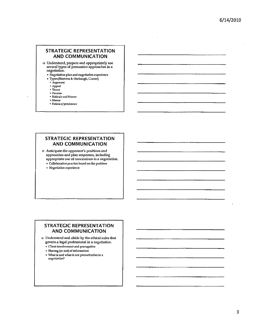$\sim$ 

## STRATEGIC REPRESENTATION AND COMMUNICATION

ច Understand, prepare and appropriately use several types of persuasive approaches in a negotiation.

- Negotiation plan and negotiation experience
- " Types (Bastress & Harbaugh, Craver)
	- <sup>a</sup> Argument
	- .. Appeal
	- a Threat
	- " Promise

 $\ddot{\phantom{a}}$ 

- " Ridicule and Humor " Silence
- " Patience/persistence

#### STRATEGIC REPRESENTATION AND COMMUNICATION

ID Anticipate the opponent's positions and approaches and plan responses, including appropriate use of concessions in a negotiation.

- Collaborative practice based on the problem
- Negotiation experience

### STRATEGIC REPRESENTATION AND COMMUNICATION

[!] Understand and abide by the ethical rules that govern a legal professional in a negotiation.

- " Olent involvement and prerogative
- " Sharing (or not) of information
- What is and what is not prevarication in a negotiation?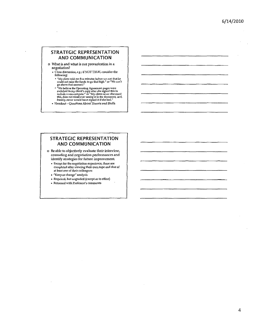### STRATEGIC REPRESENTATION AND COMMUNICATION

o What is and what is not prevarication in a negotiation?

- Class discussion. *e.g.;* if NOT TRUE, consider the following:
	- " "My client told me five minutes before we met that he<br>could not raise the funds to go that high." or "We can't<br>go above that amount."
	- "We believe the Operating Agreement pages were<br>switched in my client's copy after she signed this to<br>include a non-compete." or "My client never discussed<br>this, does not recall ever seeing it in the document, and,<br>frankly,
- Handout-Questions About Threats and Bluffs

#### STRATEGIC REPRESENTATION AND COMMUNICATION

EI Be able to objectively evaluate their interview, counseling and negoliation performances and identify strategies for future improvement.

- Except for the negotiation experience, these are completed after viewing their own tape and that of at least one of their colleagues
- "Keep or change" analysis
- Required, but ungraded (except as to ef(orl)
- Returned with Professor's comments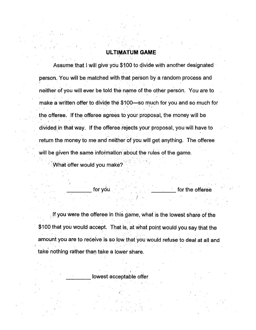## ULTIMATUM GAME

Assume that I will give you \$100 to divide with another designated person. You will be matched with that person by a random process and neither of you will ever be told the name of the other person. You are to make a written offer to divide the  $$100$  so much for you and so much for the offeree. If the offeree agrees to your proposal, the money will be divided in that way. If the offeree rejects your proposal, you will have to return the money to me and neither of you will get anything. The offeree will be given the same information about the ruies of the game.

What offer would you make?

for you

for the offeree

If you were the offeree in this game, what is the lowest share of the \$1 00 that you would accept. That is, at what point would you say that the amount you are to receive is solow that you would refuse to deal at all and , take nothing rather than take a lower share.

,I

lowest acceptable offer

I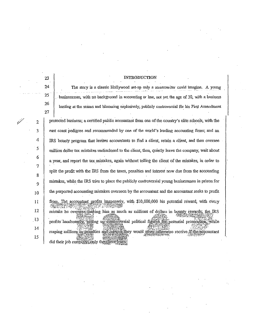**INTRODUCTION** 23 24 The stmy is a classic Hollywood set-up only a screenwriter could imagine. A young 25 . businessman, with nO baclcgronnd in acconnting or law, nat yet the age of 30, with a business 26 busting at the seams and blooming explosively, publicly controversial for his First Amendment 27 protected business; a certified public accountant from one ofthe country's elite schools, with the  $\mathscr{V} = 2$ 3 east coast pedigree and recommended by one of the world's leading accounting firms; and an 4 IRS boimty program that invites accountants to find a client, retain a client, and then oversee 5 million dollar tax mistalees undisclosed to the client, then, quietly leave the company, wait about 6 a year, and report the tax mistalces, again without telling the client ofthe mistakes, in order to 7 split the profit with the IRS from the taxes, penalties and interest now due from the accounting 8 mistakes, while the IRS tries to place the publicly controversial young businessman in prison for 9 the purported accounting mistakes overseen by the accountant and the accountant seeks to profit10 II from. The accountant profits immensely, with \$10,000,000 his potential reward, with every 12 mistake he oversees making him as much as millions of dollars in bounty rewards; the IRS 13 profits handsomely, setting up countoversial political figures for potential prosecution, while 14 reaping millions in penalties and interest they would never otherwise receive if the accountant 15 did their job correctly conly the cuent lose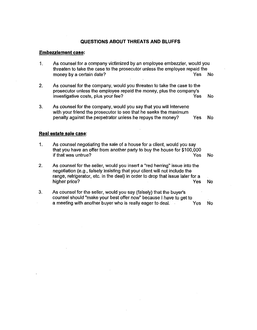#### **QUESTIONS ABOUT THREATS AND BLUFFS**

#### **Embezzlement case:**

- 1. As counsel for a company victimized by an employee embezzler, would you threaten to take the case to the prosecutor unless the employee repaid the money by a certain date? The Contract of the Ves No. The Ves No. No. 1996. 2. As counsel for the company, would you threaten to take the case to the prosecutor unless the employee repaid the money, plus the company's investigative costs, plus your fee? The Most Cost of the Most Cost of the Most Cost of the Most Cost of the Mo 3. As counsel for the company, would you say that you will intervene with your friend the prosecutor to see that he seeks the maximum penalty against the perpetrator unless he repays the money? Yes No **Real estate sale** case: 1. As counsel negotiating the sale of a house for a client, would you say
- that you have an offer from another party to buy the house for \$100,000 if that was untrue? Yes No 2. As counsel for the seller, would you insert a "red herring" issue into the negotiation (e.g., falsely insisting that your client will not include the range, refrigerator, etc. in the deal) in order to drop that issue later for a higher price? No was a set of the set of the set of the set of the set of the set of the set of the set of the set of the set of the set of the set of the set of the set of the set of the set of the set of the set of the s 3. As counsel for the seller, would you say (falsely) that the buyer's
- counsel should "make your best offer now" because I have to get to a meeting with another buyer who is really eager to deal. Yes No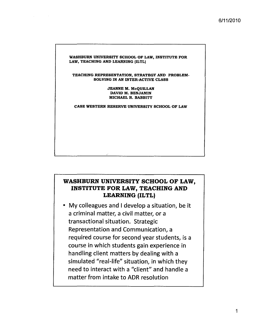#### WASHBURN UNIVERSITY SCHOOL OF LAW, INSTITUTE FOR LAW, TEACHING AND LEARNING (ILTL)

TEACHING REPRESENTATION, STRATEGY AND PROBLEM-SOLVING IN AN INTER-ACTIVE CLASS

> JEANNE M. McQUILLAN DAVID M. BENJAMIN MICHAEL R. BABBITT

CASE WESTERN RESERVE UNIVERSITY SCHOOL OF LAW

# **WASHBURN UNIVERSITY SCHOOL OF LAW, INSTITUTE FOR LAW, TEACHING AND LEARNING (ILTL)**

• My colleagues and I develop a situation, be it a criminal matter, a civil matter, or a transactional situation. Strategic Representation and Communication, a required course for second year students, is a course in which students gain experience in handling client matters by dealing with a simulated "real-life" situation, in which they need to interact with a "client" and handle a matter from intake to ADR resolution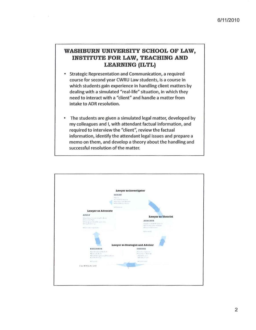# WASHBURN UNIVERSITY SCHOOL OF LAW, **INSTITUTE FOR LAW, TEACHING AND LEARNING (ILTL)**

 $\sim$ 

- Strategic Representation and Communication, a required  $\bullet$ course for second year CWRU Law students, is a course in which students gain experience in handling client matters by dealing with a simulated "real-life" situation, in which they need to interact with a "client" and handle a matter from intake to ADR resolution.
- The students are given a simulated legal matter, developed by my colleagues and I, with attendant factual information, and required to interview the "client", review the factual information, identify the attendant legal issues and prepare a memo on them, and develop a theory about the handling and successful resolution of the matter.

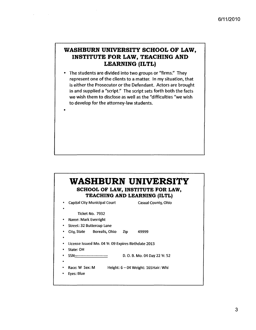# **WASHBURN UNIVERSITY SCHOOL OF LAW, INSTITUTE FOR LAW, TEACHING AND LEARNING (ILTL)**

• The students are divided into two groups or "firms," They represent one of the clients to a matter. In my situation, that is either the Prosecutor or the Defendant. Actors are brought in and supplied a "script." The script sets forth both the facts we wish them to disclose as well as the "difficulties "we wish to develop for the attorney-law students.

•

 $\sim 10^7$ 

# **WASHBURN UNIVERSITY SCHOOL OF LAW, INSTITUTE FOR LAW, TEACHING AND LEARNING (ILTL)** Capital City Municipal Court Casual County, Ohio Ticket No. 7932 • Name: Mark Everright Street: 32 Buttercup lane City, State Borealis, Ohio Zip 49999 license Issued Mo. 04 Yr. 09 Expires Birthdate 2013 State: OH SSN------------------------- D. O. B. Mo. 04 Day 2Z Yr. 52 Race: W Sex: M Eyes: Blue Height: 6 - 04 Weight: 165 Hair: Whi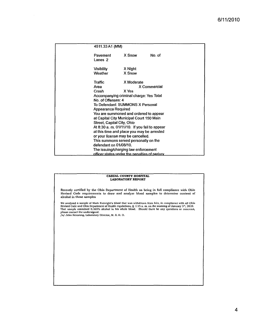| 4511.33 A1 (MM)            |                                               |              |  |
|----------------------------|-----------------------------------------------|--------------|--|
| Pavement<br>Lanes 2        | X Snow                                        | No. of       |  |
| <b>Visibility</b>          | X Night                                       |              |  |
| Weather                    | X Snow                                        |              |  |
| Traffic                    | X Moderate                                    |              |  |
| Area                       |                                               | X Commercial |  |
| Crash                      | X Yes                                         |              |  |
|                            | Accompanying criminal charge: Yes Total       |              |  |
| No. of Offenses: 4         |                                               |              |  |
|                            | To Defendant: SUMMONS X Personal              |              |  |
| <b>Appearance Required</b> |                                               |              |  |
|                            | You are summoned and ordered to appear        |              |  |
|                            | at Capital City Municipal Court 150 Main      |              |  |
| Street, Capital City, Ohio |                                               |              |  |
|                            | At 8:30 a. m. 01/11/10. If you fail to appear |              |  |
|                            | at this time and place you may be arrested    |              |  |
|                            | or your license may be cancelled.             |              |  |
|                            | This summons served personally on the         |              |  |
| defendant on 01/08/10.     |                                               |              |  |
|                            | The issuing/charging law enforcement          |              |  |
|                            | officer states under the penalties of periury |              |  |

 $\mathcal{A}^{\mathcal{A}}$ 

#### **CASUAL COUNTY HOSPITAL LABORATORY REPORT**

 $\sim$ 

Recently certified by the Ohio Department of Health as being in full compliance with Ohio Revised Code requirements to draw and analyze blood samples to determine content of alcohol in those samples

We analyzed a sample of Mark Everright's blood that was withdrawn from him, in compliance with all Ohio<br>Revised Code and Ohio Department of Health regulations, @ 1:15 a. m. on the morning of January 5<sup>th</sup>, 2010.<br>That sampl please contact the undersigned. *lsi* John Nevarong. Laboratory Director, M. S. D. D.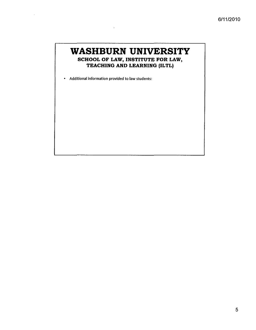# **WASHBURN UNIVERSITY SCHOOL OF LAW, INSTITUTE FOR LAW, TEACHING AND LEARNING (ILTL)**

• Additional information provided to law students:

 $\ddot{\phantom{a}}$